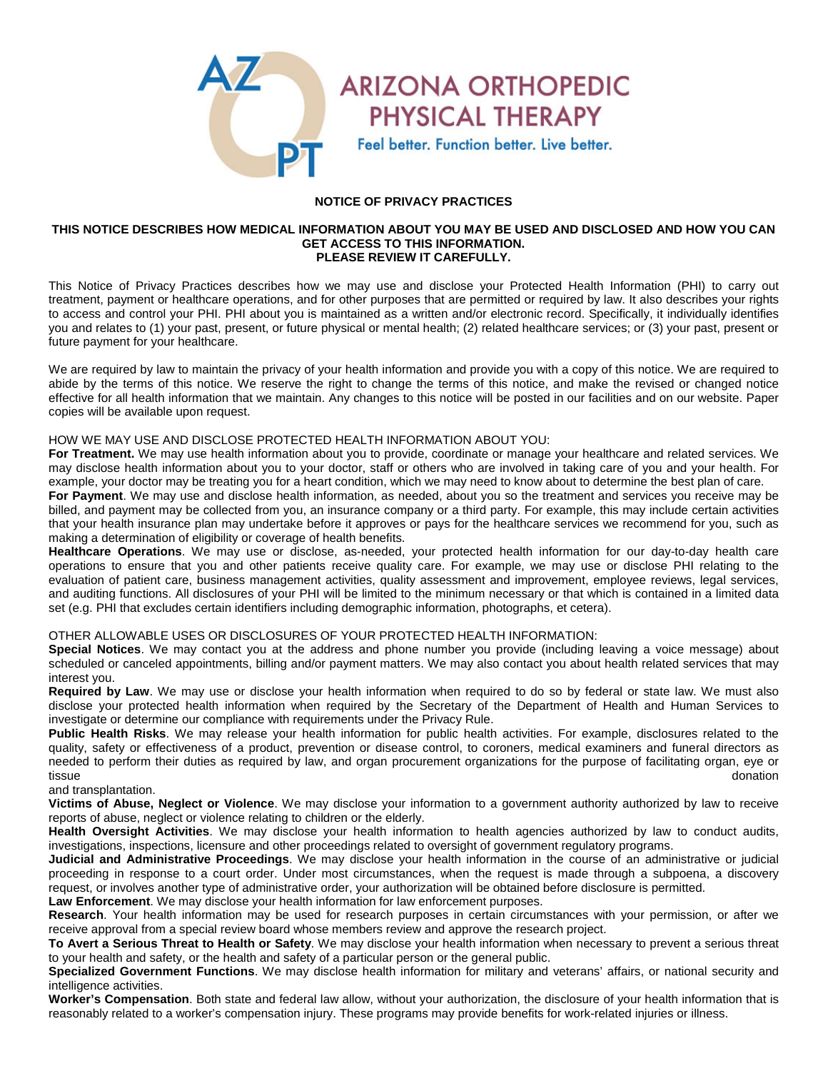

**PHYSICAL THERAPY** Feel better. Function better. Live better.

# **NOTICE OF PRIVACY PRACTICES**

#### **THIS NOTICE DESCRIBES HOW MEDICAL INFORMATION ABOUT YOU MAY BE USED AND DISCLOSED AND HOW YOU CAN GET ACCESS TO THIS INFORMATION. PLEASE REVIEW IT CAREFULLY.**

This Notice of Privacy Practices describes how we may use and disclose your Protected Health Information (PHI) to carry out treatment, payment or healthcare operations, and for other purposes that are permitted or required by law. It also describes your rights to access and control your PHI. PHI about you is maintained as a written and/or electronic record. Specifically, it individually identifies you and relates to (1) your past, present, or future physical or mental health; (2) related healthcare services; or (3) your past, present or future payment for your healthcare.

We are required by law to maintain the privacy of your health information and provide you with a copy of this notice. We are required to abide by the terms of this notice. We reserve the right to change the terms of this notice, and make the revised or changed notice effective for all health information that we maintain. Any changes to this notice will be posted in our facilities and on our website. Paper copies will be available upon request.

### HOW WE MAY USE AND DISCLOSE PROTECTED HEALTH INFORMATION ABOUT YOU:

**For Treatment.** We may use health information about you to provide, coordinate or manage your healthcare and related services. We may disclose health information about you to your doctor, staff or others who are involved in taking care of you and your health. For example, your doctor may be treating you for a heart condition, which we may need to know about to determine the best plan of care.

**For Payment**. We may use and disclose health information, as needed, about you so the treatment and services you receive may be billed, and payment may be collected from you, an insurance company or a third party. For example, this may include certain activities that your health insurance plan may undertake before it approves or pays for the healthcare services we recommend for you, such as making a determination of eligibility or coverage of health benefits.

**Healthcare Operations**. We may use or disclose, as-needed, your protected health information for our day-to-day health care operations to ensure that you and other patients receive quality care. For example, we may use or disclose PHI relating to the evaluation of patient care, business management activities, quality assessment and improvement, employee reviews, legal services, and auditing functions. All disclosures of your PHI will be limited to the minimum necessary or that which is contained in a limited data set (e.g. PHI that excludes certain identifiers including demographic information, photographs, et cetera).

# OTHER ALLOWABLE USES OR DISCLOSURES OF YOUR PROTECTED HEALTH INFORMATION:

**Special Notices**. We may contact you at the address and phone number you provide (including leaving a voice message) about scheduled or canceled appointments, billing and/or payment matters. We may also contact you about health related services that may interest you.

**Required by Law**. We may use or disclose your health information when required to do so by federal or state law. We must also disclose your protected health information when required by the Secretary of the Department of Health and Human Services to investigate or determine our compliance with requirements under the Privacy Rule.

**Public Health Risks**. We may release your health information for public health activities. For example, disclosures related to the quality, safety or effectiveness of a product, prevention or disease control, to coroners, medical examiners and funeral directors as needed to perform their duties as required by law, and organ procurement organizations for the purpose of facilitating organ, eye or tissue donation

#### and transplantation.

**Victims of Abuse, Neglect or Violence**. We may disclose your information to a government authority authorized by law to receive reports of abuse, neglect or violence relating to children or the elderly.

**Health Oversight Activities**. We may disclose your health information to health agencies authorized by law to conduct audits, investigations, inspections, licensure and other proceedings related to oversight of government regulatory programs.

**Judicial and Administrative Proceedings**. We may disclose your health information in the course of an administrative or judicial proceeding in response to a court order. Under most circumstances, when the request is made through a subpoena, a discovery request, or involves another type of administrative order, your authorization will be obtained before disclosure is permitted.

**Law Enforcement**. We may disclose your health information for law enforcement purposes.

**Research**. Your health information may be used for research purposes in certain circumstances with your permission, or after we receive approval from a special review board whose members review and approve the research project.

**To Avert a Serious Threat to Health or Safety**. We may disclose your health information when necessary to prevent a serious threat to your health and safety, or the health and safety of a particular person or the general public.

**Specialized Government Functions**. We may disclose health information for military and veterans' affairs, or national security and intelligence activities.

**Worker's Compensation**. Both state and federal law allow, without your authorization, the disclosure of your health information that is reasonably related to a worker's compensation injury. These programs may provide benefits for work-related injuries or illness.